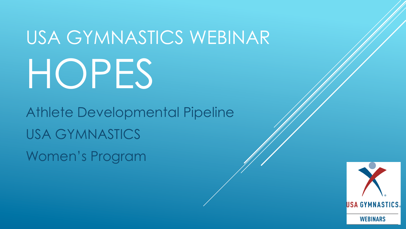# USA GYMNASTICS WEBINAR HOPES

Athlete Developmental Pipeline USA GYMNASTICS Women's Program

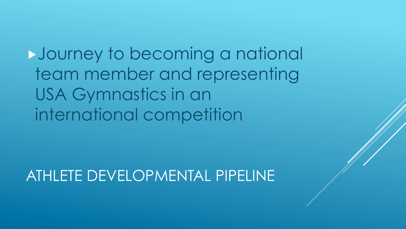Journey to becoming a national team member and representing USA Gymnastics in an international competition

ATHLETE DEVELOPMENTAL PIPELINE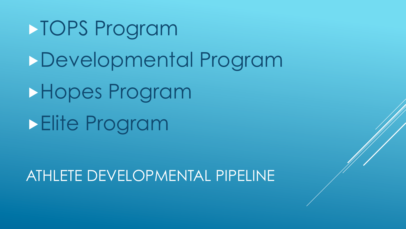TOPS Program Developmental Program Hopes Program Elite Program

ATHLETE DEVELOPMENTAL PIPELINE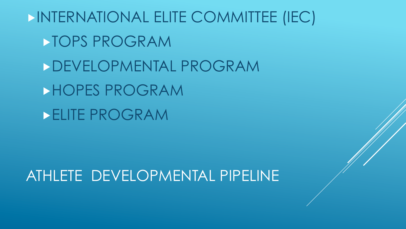INTERNATIONAL ELITE COMMITTEE (IEC) TOPS PROGRAM DEVELOPMENTAL PROGRAM HOPES PROGRAM ELITE PROGRAM

ATHLETE DEVELOPMENTAL PIPELINE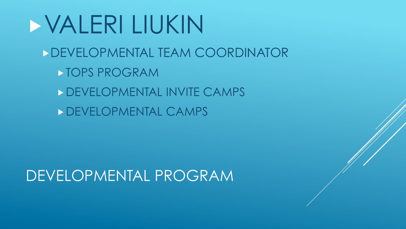## VALERI LIUKIN DEVELOPMENTAL TEAM COORDINATOR TOPS PROGRAM DEVELOPMENTAL INVITE CAMPS DEVELOPMENTAL CAMPS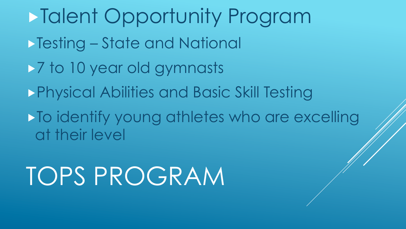Talent Opportunity Program Testing – State and National  $\rightarrow$  7 to 10 year old gymnasts Physical Abilities and Basic Skill Testing  $\blacktriangleright$  To identify young athletes who are excelling at their level

TOPS PROGRAM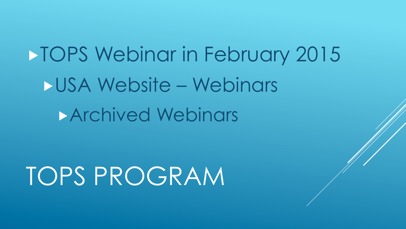**TOPS Webinar in February 2015** USA Website – Webinars **Archived Webinars** 

TOPS PROGRAM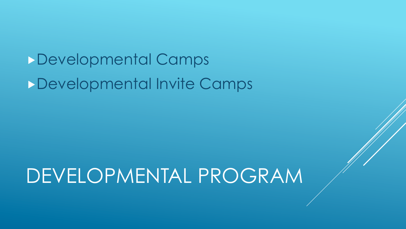## Developmental Camps Developmental Invite Camps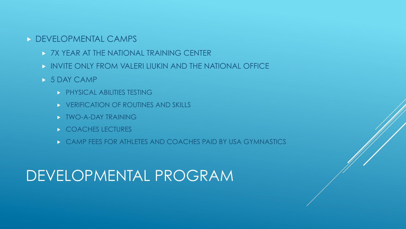#### DEVELOPMENTAL CAMPS

- **> 7X YEAR AT THE NATIONAL TRAINING CENTER**
- INVITE ONLY FROM VALERI LIUKIN AND THE NATIONAL OFFICE
- 5 DAY CAMP
	- **PHYSICAL ABILITIES TESTING**
	- **EXPERIENCATION OF ROUTINES AND SKILLS**
	- **NO-A-DAY TRAINING**
	- **COACHES LECTURES**
	- CAMP FEES FOR ATHLETES AND COACHES PAID BY USA GYMNASTICS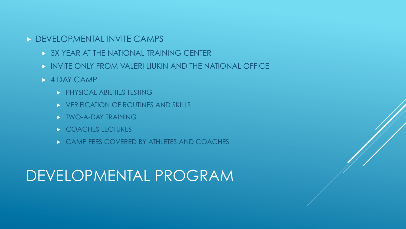#### **DEVELOPMENTAL INVITE CAMPS**

- **> 3X YEAR AT THE NATIONAL TRAINING CENTER**
- INVITE ONLY FROM VALERI LIUKIN AND THE NATIONAL OFFICE
- **4 DAY CAMP** 
	- **PHYSICAL ABILITIES TESTING**
	- **EXPERIENCATION OF ROUTINES AND SKILLS**
	- **NO-A-DAY TRAINING**
	- **COACHES LECTURES**
	- **EXAMP FEES COVERED BY ATHLETES AND COACHES**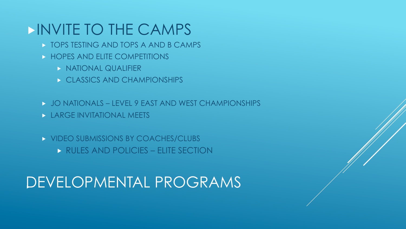#### INVITE TO THE CAMPS

- **TOPS TESTING AND TOPS A AND B CAMPS**
- **EXTENDED AND ELITE COMPETITIONS** 
	- **NATIONAL QUALIFIER**
	- CLASSICS AND CHAMPIONSHIPS
- JO NATIONALS LEVEL 9 EAST AND WEST CHAMPIONSHIPS
- **LARGE INVITATIONAL MEETS**
- **NO VIDEO SUBMISSIONS BY COACHES/CLUBS** 
	- RULES AND POLICIES ELITE SECTION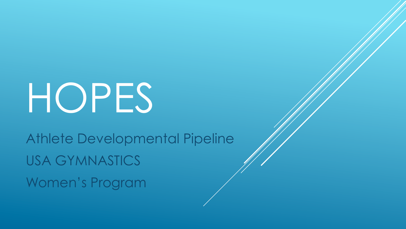# HOPES

Athlete Developmental Pipeline USA GYMNASTICS Women's Program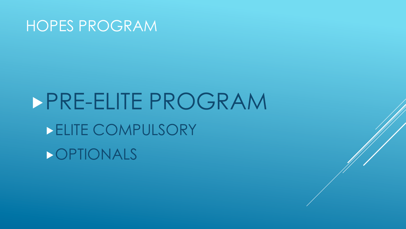# PRE-ELITE PROGRAM ELITE COMPULSORY **DOPTIONALS**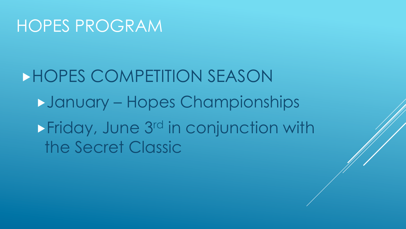HOPES COMPETITION SEASON January – Hopes Championships **Friday, June 3rd in conjunction with** the Secret Classic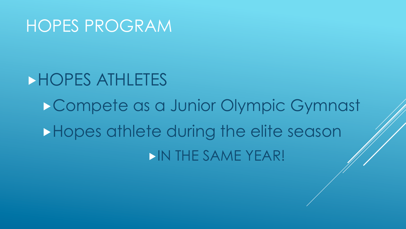# HOPES ATHLETES Compete as a Junior Olympic Gymnast **Hopes athlete during the elite season** IN THE SAME YEAR!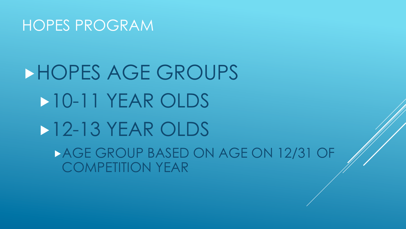# HOPES AGE GROUPS 10-11 YEAR OLDS **12-13 YEAR OLDS** AGE GROUP BASED ON AGE ON 12/31 OF COMPETITION YEAR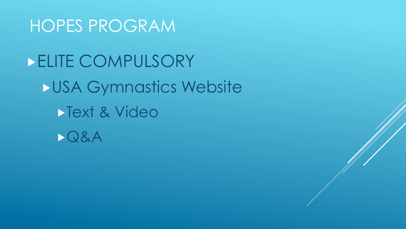**ELITE COMPULSORY** USA Gymnastics Website Text & Video Q&A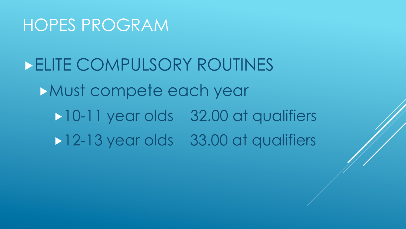ELITE COMPULSORY ROUTINES Must compete each year 10-11 year olds 32.00 at qualifiers 12-13 year olds 33.00 at qualifiers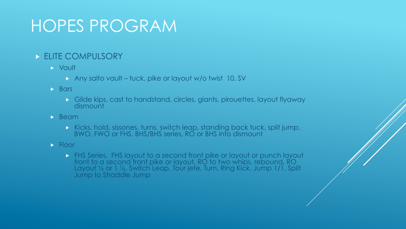#### **ELITE COMPULSORY**

- Vault
	- Any salto vault tuck, pike or layout w/o twist 10. SV
- $\triangleright$  Bars
	- Glide kips, cast to handstand, circles, giants, pirouettes, layout flyaway dismount
- $\rightarrow$  Beam
	- Kicks, hold, sissones, turns, switch leap, standing back tuck, split jump, BWO, FWO or FHS, BHS/BHS series, RO or BHS into dismount
- $\blacktriangleright$  Floor
	- **FHS Series, FHS layout to a second front pike or layout or punch layout** front to a second front pike or layout, RO to two whips, rebound, RO Layout ½ or 1 ½, Switch Leap, Tour jete, Turn, Ring Kick, Jump 1/1, Split Jump to Straddle Jump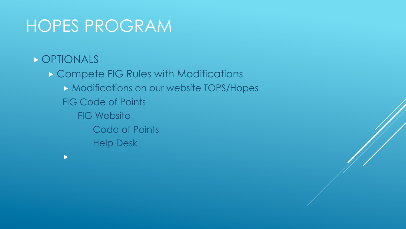#### **DETIONALS**

 $\blacktriangleright$ 

**Compete FIG Rules with Modifications Modifications on our website TOPS/Hopes** FIG Code of Points FIG Website Code of Points Help Desk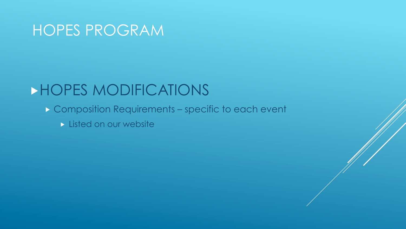#### HOPES MODIFICATIONS

- Composition Requirements specific to each event
	- Listed on our website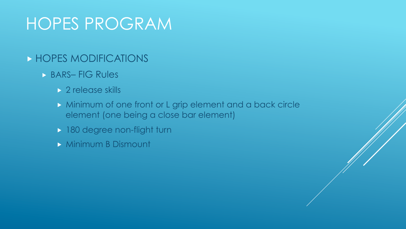#### **HOPES MODIFICATIONS**

- BARS– FIG Rules
	- ▶ 2 release skills
	- Minimum of one front or L grip element and a back circle element (one being a close bar element)
	- 180 degree non-flight turn
	- **Minimum B Dismount**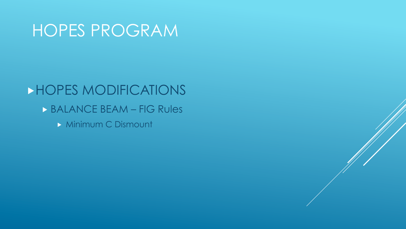#### HOPES MODIFICATIONS

- **BALANCE BEAM FIG Rules** 
	- **Minimum C Dismount**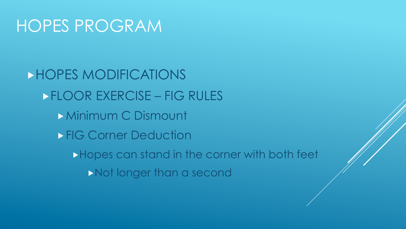HOPES MODIFICATIONS FLOOR EXERCISE – FIG RULES **Minimum C Dismount FIG Corner Deduction** Hopes can stand in the corner with both feet Not longer than a second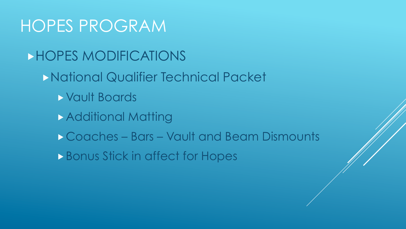HOPES MODIFICATIONS

National Qualifier Technical Packet

- Vault Boards
- **Additional Matting**
- Coaches Bars Vault and Beam Dismounts
- **Bonus Stick in affect for Hopes**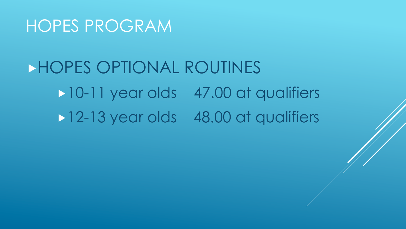## HOPES OPTIONAL ROUTINES 10-11 year olds 47.00 at qualifiers 12-13 year olds 48.00 at qualifiers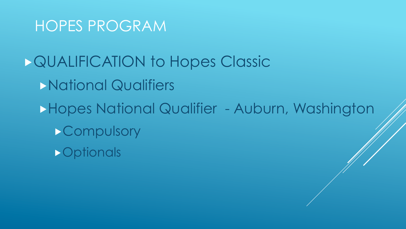QUALIFICATION to Hopes Classic National Qualifiers Hopes National Qualifier - Auburn, Washington **>Compulsory D**optionals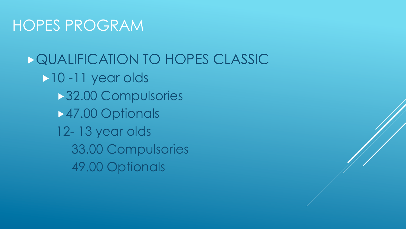**DQUALIFICATION TO HOPES CLASSIC** 10 -11 year olds **32.00 Compulsories** 47.00 Optionals 12- 13 year olds 33.00 Compulsories 49.00 Optionals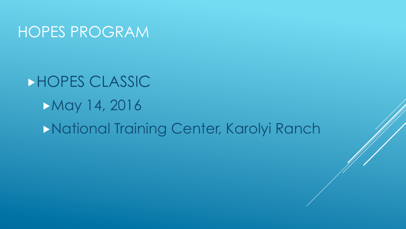## HOPES CLASSIC May 14, 2016 National Training Center, Karolyi Ranch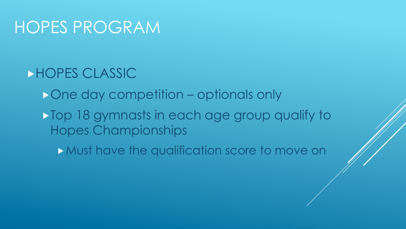- HOPES CLASSIC
	- One day competition optionals only
	- Top 18 gymnasts in each age group qualify to Hopes Championships
		- **Must have the qualification score to move on**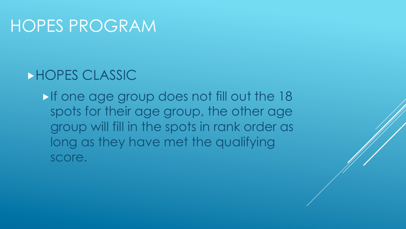#### HOPES CLASSIC

If one age group does not fill out the 18 spots for their age group, the other age group will fill in the spots in rank order as long as they have met the qualifying score.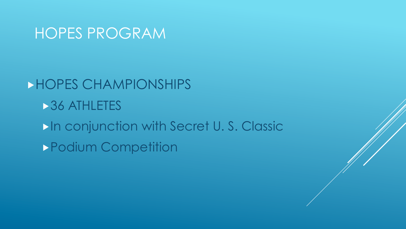**HOPES CHAMPIONSHIPS 36 ATHLETES** In conjunction with Secret U. S. Classic Podium Competition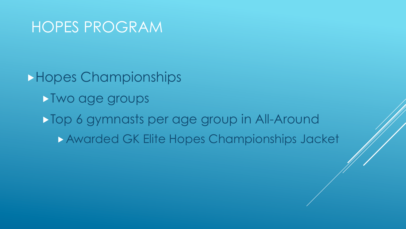Hopes Championships Two age groups Top 6 gymnasts per age group in All-Around Awarded GK Elite Hopes Championships Jacket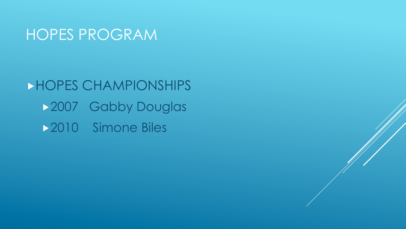HOPES CHAMPIONSHIPS 2007 Gabby Douglas **2010** Simone Biles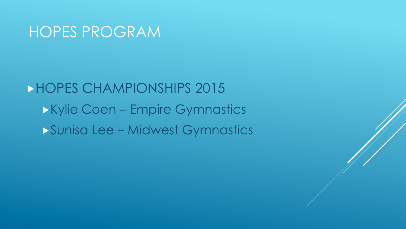HOPES CHAMPIONSHIPS 2015 Kylie Coen – Empire Gymnastics Sunisa Lee – Midwest Gymnastics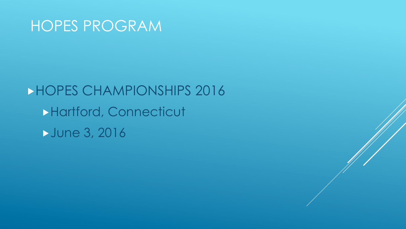HOPES CHAMPIONSHIPS 2016 Hartford, Connecticut June 3, 2016